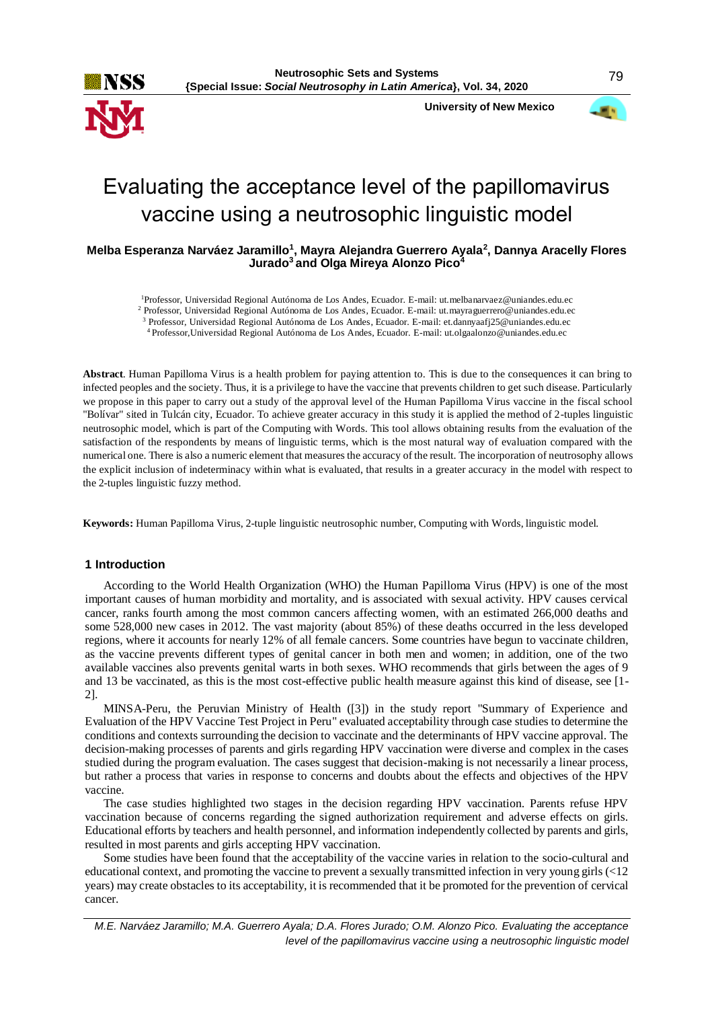**University of New Mexico**



# Evaluating the acceptance level of the papillomavirus vaccine using a neutrosophic linguistic model

**Melba Esperanza Narváez Jaramillo<sup>1</sup> , Mayra Alejandra Guerrero Ayala<sup>2</sup> , Dannya Aracelly Flores Jurado<sup>3</sup>and Olga Mireya Alonzo Pico<sup>4</sup>**

<sup>1</sup>Professor, Universidad Regional Autónoma de Los Andes, Ecuador. E-mail: ut.melbanarvaez@uniandes.edu.ec

<sup>2</sup> Professor, Universidad Regional Autónoma de Los Andes, Ecuador. E-mail: ut.mayraguerrero@uniandes.edu.ec

<sup>3</sup> Professor, Universidad Regional Autónoma de Los Andes, Ecuador. E-mail: et.dannyaafj25@uniandes.edu.ec <sup>4</sup>Professor,Universidad Regional Autónoma de Los Andes, Ecuador. E-mail: [ut.olgaalonzo@uniandes.edu.ec](mailto:ut.olgaalonzo@uniandes.edu.ec)

**Abstract**. Human Papilloma Virus is a health problem for paying attention to. This is due to the consequences it can bring to infected peoples and the society. Thus, it is a privilege to have the vaccine that prevents children to get such disease. Particularly we propose in this paper to carry out a study of the approval level of the Human Papilloma Virus vaccine in the fiscal school "Bolívar" sited in Tulcán city, Ecuador. To achieve greater accuracy in this study it is applied the method of 2-tuples linguistic neutrosophic model, which is part of the Computing with Words. This tool allows obtaining results from the evaluation of the satisfaction of the respondents by means of linguistic terms, which is the most natural way of evaluation compared with the numerical one. There is also a numeric element that measures the accuracy of the result. The incorporation of neutrosophy allows the explicit inclusion of indeterminacy within what is evaluated, that results in a greater accuracy in the model with respect to the 2-tuples linguistic fuzzy method.

**Keywords:** Human Papilloma Virus, 2-tuple linguistic neutrosophic number, Computing with Words, linguistic model.

# **1 Introduction**

According to the World Health Organization (WHO) the Human Papilloma Virus (HPV) is one of the most important causes of human morbidity and mortality, and is associated with sexual activity. HPV causes cervical cancer, ranks fourth among the most common cancers affecting women, with an estimated 266,000 deaths and some 528,000 new cases in 2012. The vast majority (about 85%) of these deaths occurred in the less developed regions, where it accounts for nearly 12% of all female cancers. Some countries have begun to vaccinate children, as the vaccine prevents different types of genital cancer in both men and women; in addition, one of the two available vaccines also prevents genital warts in both sexes. WHO recommends that girls between the ages of 9 and 13 be vaccinated, as this is the most cost-effective public health measure against this kind of disease, see [1- 2].

MINSA-Peru, the Peruvian Ministry of Health ([3]) in the study report "Summary of Experience and Evaluation of the HPV Vaccine Test Project in Peru" evaluated acceptability through case studies to determine the conditions and contexts surrounding the decision to vaccinate and the determinants of HPV vaccine approval. The decision-making processes of parents and girls regarding HPV vaccination were diverse and complex in the cases studied during the program evaluation. The cases suggest that decision-making is not necessarily a linear process, but rather a process that varies in response to concerns and doubts about the effects and objectives of the HPV vaccine.

The case studies highlighted two stages in the decision regarding HPV vaccination. Parents refuse HPV vaccination because of concerns regarding the signed authorization requirement and adverse effects on girls. Educational efforts by teachers and health personnel, and information independently collected by parents and girls, resulted in most parents and girls accepting HPV vaccination.

Some studies have been found that the acceptability of the vaccine varies in relation to the socio-cultural and educational context, and promoting the vaccine to prevent a sexually transmitted infection in very young girls (<12 years) may create obstacles to its acceptability, it is recommended that it be promoted for the prevention of cervical cancer.

*M.E. Narváez Jaramillo; M.A. Guerrero Ayala; D.A. Flores Jurado; O.M. Alonzo Pico. Evaluating the acceptance level of the papillomavirus vaccine using a neutrosophic linguistic model*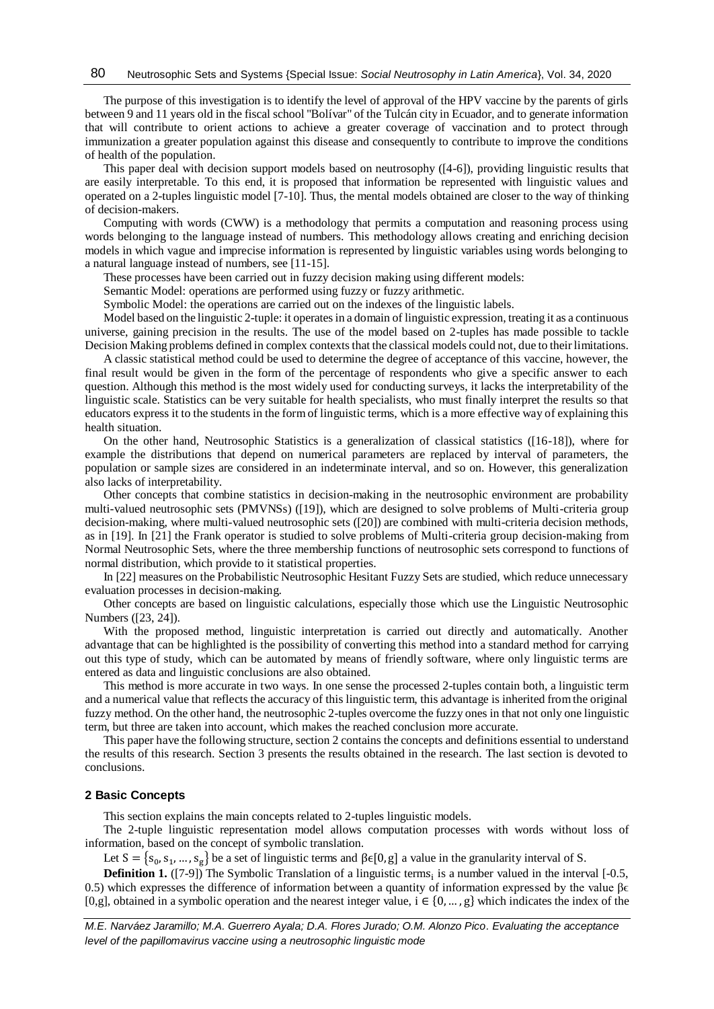The purpose of this investigation is to identify the level of approval of the HPV vaccine by the parents of girls between 9 and 11 years old in the fiscal school "Bolívar" of the Tulcán city in Ecuador, and to generate information that will contribute to orient actions to achieve a greater coverage of vaccination and to protect through immunization a greater population against this disease and consequently to contribute to improve the conditions of health of the population.

This paper deal with decision support models based on neutrosophy ([4-6]), providing linguistic results that are easily interpretable. To this end, it is proposed that information be represented with linguistic values and operated on a 2-tuples linguistic model [7-10]. Thus, the mental models obtained are closer to the way of thinking of decision-makers.

Computing with words (CWW) is a methodology that permits a computation and reasoning process using words belonging to the language instead of numbers. This methodology allows creating and enriching decision models in which vague and imprecise information is represented by linguistic variables using words belonging to a natural language instead of numbers, see [11-15].

These processes have been carried out in fuzzy decision making using different models:

Semantic Model: operations are performed using fuzzy or fuzzy arithmetic.

Symbolic Model: the operations are carried out on the indexes of the linguistic labels.

Model based on the linguistic 2-tuple: it operates in a domain of linguistic expression, treating it as a continuous universe, gaining precision in the results. The use of the model based on 2-tuples has made possible to tackle Decision Making problems defined in complex contexts that the classical models could not, due to their limitations.

A classic statistical method could be used to determine the degree of acceptance of this vaccine, however, the final result would be given in the form of the percentage of respondents who give a specific answer to each question. Although this method is the most widely used for conducting surveys, it lacks the interpretability of the linguistic scale. Statistics can be very suitable for health specialists, who must finally interpret the results so that educators express it to the students in the form of linguistic terms, which is a more effective way of explaining this health situation.

On the other hand, Neutrosophic Statistics is a generalization of classical statistics ([16-18]), where for example the distributions that depend on numerical parameters are replaced by interval of parameters, the population or sample sizes are considered in an indeterminate interval, and so on. However, this generalization also lacks of interpretability.

Other concepts that combine statistics in decision-making in the neutrosophic environment are probability multi-valued neutrosophic sets (PMVNSs) ([19]), which are designed to solve problems of Multi-criteria group decision-making, where multi-valued neutrosophic sets ([20]) are combined with multi-criteria decision methods, as in [19]. In [21] the Frank operator is studied to solve problems of Multi-criteria group decision-making from Normal Neutrosophic Sets, where the three membership functions of neutrosophic sets correspond to functions of normal distribution, which provide to it statistical properties.

In [22] measures on the Probabilistic Neutrosophic Hesitant Fuzzy Sets are studied, which reduce unnecessary evaluation processes in decision-making.

Other concepts are based on linguistic calculations, especially those which use the Linguistic Neutrosophic Numbers ([23, 24]).

With the proposed method, linguistic interpretation is carried out directly and automatically. Another advantage that can be highlighted is the possibility of converting this method into a standard method for carrying out this type of study, which can be automated by means of friendly software, where only linguistic terms are entered as data and linguistic conclusions are also obtained.

This method is more accurate in two ways. In one sense the processed 2-tuples contain both, a linguistic term and a numerical value that reflects the accuracy of this linguistic term, this advantage is inherited from the original fuzzy method. On the other hand, the neutrosophic 2-tuples overcome the fuzzy ones in that not only one linguistic term, but three are taken into account, which makes the reached conclusion more accurate.

This paper have the following structure, section 2 contains the concepts and definitions essential to understand the results of this research. Section 3 presents the results obtained in the research. The last section is devoted to conclusions.

## **2 Basic Concepts**

This section explains the main concepts related to 2-tuples linguistic models.

The 2-tuple linguistic representation model allows computation processes with words without loss of information, based on the concept of symbolic translation.

Let  $S = \{s_0, s_1, ..., s_g\}$  be a set of linguistic terms and  $\beta \in [0, g]$  a value in the granularity interval of S.

**Definition 1.** ([7-9]) The Symbolic Translation of a linguistic terms<sub>i</sub> is a number valued in the interval  $[-0.5, 0.5]$ 0.5) which expresses the difference of information between a quantity of information expressed by the value  $\beta \epsilon$ [0,g], obtained in a symbolic operation and the nearest integer value,  $i \in \{0, ..., g\}$  which indicates the index of the

*M.E. Narváez Jaramillo; M.A. Guerrero Ayala; D.A. Flores Jurado; O.M. Alonzo Pico. Evaluating the acceptance level of the papillomavirus vaccine using a neutrosophic linguistic mode*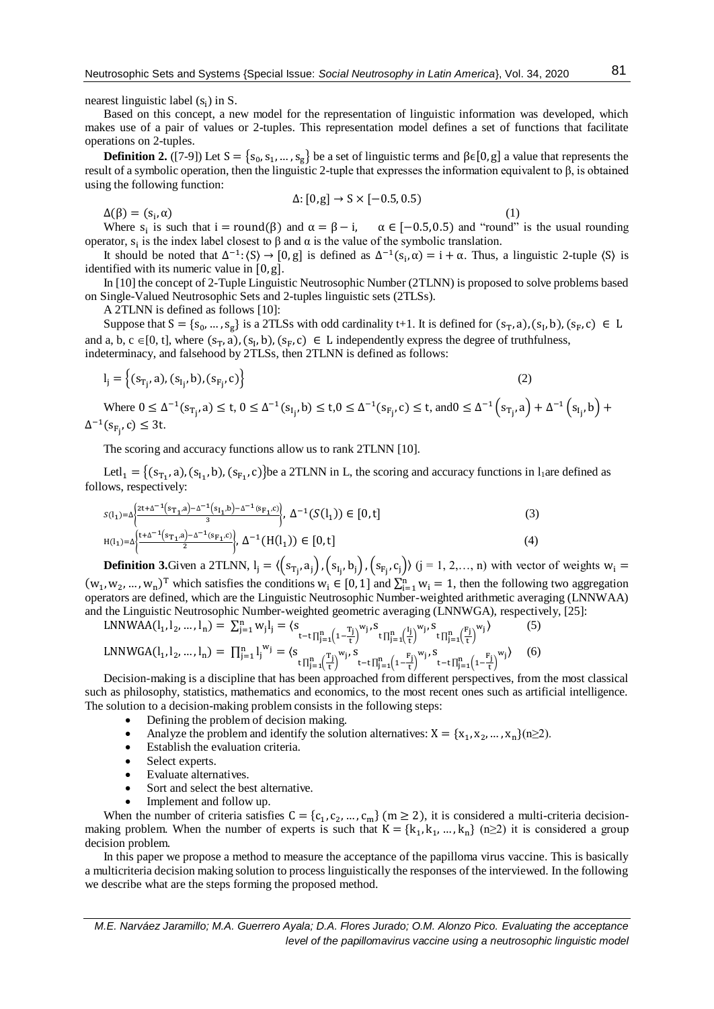nearest linguistic label  $(s_i)$  in S.

Based on this concept, a new model for the representation of linguistic information was developed, which makes use of a pair of values or 2-tuples. This representation model defines a set of functions that facilitate operations on 2-tuples.

**Definition 2.** ([7-9]) Let  $S = \{s_0, s_1, ..., s_g\}$  be a set of linguistic terms and β $\epsilon[0, g]$  a value that represents the result of a symbolic operation, then the linguistic 2-tuple that expresses the information equivalent to β, is obtained using the following function:

$$
\Delta: [0, g] \rightarrow S \times [-0.5, 0.5)
$$

 $\Delta(\beta) = (s_i, \alpha)$ ,  $\alpha$ ) (1) Where  $s_i$  is such that  $i = round(\beta)$  and  $\alpha = \beta - i$ ,  $\alpha \in [-0.5, 0.5)$  and "round" is the usual rounding operator,  $s_i$  is the index label closest to  $\beta$  and  $\alpha$  is the value of the symbolic translation.

It should be noted that  $\Delta^{-1}$ :  $(S) \rightarrow [0, g]$  is defined as  $\Delta^{-1}(S_i, \alpha) = i + \alpha$ . Thus, a linguistic 2-tuple  $\langle S \rangle$  is identified with its numeric value in [0,g].

In [10] the concept of 2-Tuple Linguistic Neutrosophic Number (2TLNN) is proposed to solve problems based on Single-Valued Neutrosophic Sets and 2-tuples linguistic sets (2TLSs).

A 2TLNN is defined as follows [10]:

Suppose that  $S = \{s_0, ..., s_g\}$  is a 2TLSs with odd cardinality t+1. It is defined for  $(s_T, a)$ ,  $(s_I, b)$ ,  $(s_F, c) \in L$ and a, b, c  $\in [0, t]$ , where  $(s_T, a)$ ,  $(s_I, b)$ ,  $(s_F, c) \in L$  independently express the degree of truthfulness, indeterminacy, and falsehood by 2TLSs, then 2TLNN is defined as follows:

$$
l_j = \left\{ (s_{T_j}, a), (s_{I_j}, b), (s_{F_j}, c) \right\}
$$
 (2)

Where  $0 \leq \Delta^{-1}(s_{T_j}, a) \leq t, 0 \leq \Delta^{-1}(s_{I_j}, b) \leq t, 0 \leq \Delta^{-1}(s_{F_j}, c) \leq t$ , and  $0 \leq \Delta^{-1}(s_{T_j}, a) + \Delta^{-1}(s_{I_j}, b) +$  $\Delta^{-1}(s_{F_j}, c) \leq 3t$ .

The scoring and accuracy functions allow us to rank 2TLNN [10].

Letl<sub>1</sub> = {(s<sub>T<sub>1</sub></sub>, a), (s<sub>I<sub>1</sub></sub>, b), (s<sub>F<sub>1</sub></sub>, c)}be a 2TLNN in L, the scoring and accuracy functions in l<sub>1</sub>are defined as follows, respectively:

$$
S(1_1) = \Delta \left\{ \frac{2t + \Delta^{-1} (s_{T_1}, a) - \Delta^{-1} (s_{I_1}, b) - \Delta^{-1} (s_{F_1}, c)}{3}, \Delta^{-1} (S(1_1)) \in [0, t] \right\}
$$
\n
$$
H(1_1) = \Delta \left\{ \frac{t + \Delta^{-1} (s_{T_1}, a) - \Delta^{-1} (s_{F_1}, c)}{2}, \Delta^{-1} (H(1_1)) \in [0, t] \right\}
$$
\n
$$
(4)
$$

**Definition 3.**Given a 2TLNN,  $I_j = \langle (s_{T_j}, a_j), (s_{I_j}, b_j), (s_{F_j}, c_j) \rangle$   $(j = 1, 2, ..., n)$  with vector of weights  $w_i =$  $(w_1, w_2, ..., w_n)$ <sup>T</sup> which satisfies the conditions  $w_i \in [0, 1]$  and  $\sum_{i=1}^n w_i = 1$ , then the following two aggregation operators are defined, which are the Linguistic Neutrosophic Number-weighted arithmetic averaging (LNNWAA) and the Linguistic Neutrosophic Number-weighted geometric averaging (LNNWGA), respectively, [25]:

$$
LNNWAA(I_1, I_2, ..., I_n) = \sum_{j=1}^{n} w_j I_j = \langle s_{t-t \prod_{j=1}^{n} (1 - \frac{T_j}{t})}^{w_j, S} \prod_{j=1}^{n} (\frac{I_j}{t})^{w_j, S} \prod_{j=1}^{n} (\frac{F_j}{t})^{w_j}
$$
\n
$$
LNNWGA(I_1, I_2, ..., I_n) = \prod_{j=1}^{n} I_j^{w_j} = \langle s_{t \prod_{j=1}^{n} (\frac{T_j}{t})}^{w_j, S} \prod_{t-t \prod_{j=1}^{n} (1 - \frac{F_j}{t})}^{w_j, S} \prod_{t-t \prod_{j=1}^{n} (\frac{F_j}{t})^{w_j}} \rangle
$$
\n(6)

Decision-making is a discipline that has been approached from different perspectives, from the most classical such as philosophy, statistics, mathematics and economics, to the most recent ones such as artificial intelligence. The solution to a decision-making problem consists in the following steps:

- Defining the problem of decision making.
- Analyze the problem and identify the solution alternatives:  $X = \{x_1, x_2, ..., x_n\}$  (n  $\geq$ 2).
- Establish the evaluation criteria.
- Select experts.
- Evaluate alternatives.
- Sort and select the best alternative.
- Implement and follow up.

When the number of criteria satisfies  $C = \{c_1, c_2, ..., c_m\}$  (m  $\geq 2$ ), it is considered a multi-criteria decisionmaking problem. When the number of experts is such that  $K = \{k_1, k_1, ..., k_n\}$  (n $\geq 2$ ) it is considered a group decision problem.

In this paper we propose a method to measure the acceptance of the papilloma virus vaccine. This is basically a multicriteria decision making solution to process linguistically the responses of the interviewed. In the following we describe what are the steps forming the proposed method.

*M.E. Narváez Jaramillo; M.A. Guerrero Ayala; D.A. Flores Jurado; O.M. Alonzo Pico. Evaluating the acceptance level of the papillomavirus vaccine using a neutrosophic linguistic model*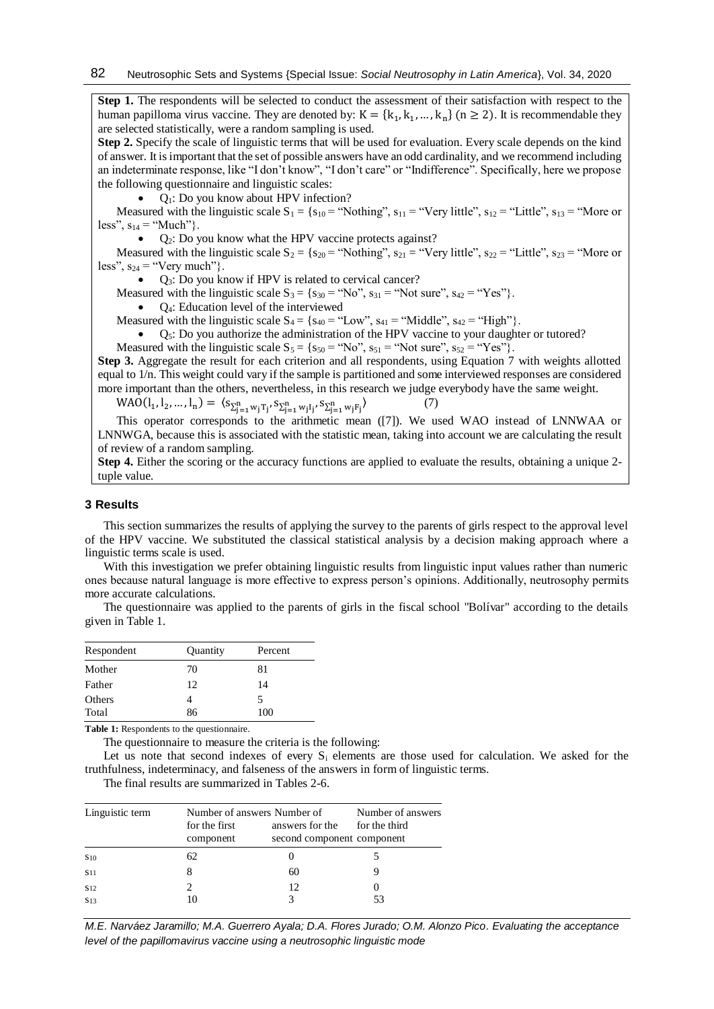**Step 1.** The respondents will be selected to conduct the assessment of their satisfaction with respect to the human papilloma virus vaccine. They are denoted by:  $K = \{k_1, k_1, ..., k_n\}$  (n  $\geq 2$ ). It is recommendable they are selected statistically, were a random sampling is used.

**Step 2.** Specify the scale of linguistic terms that will be used for evaluation. Every scale depends on the kind of answer. It is important that the set of possible answers have an odd cardinality, and we recommend including an indeterminate response, like "I don't know", "I don't care" or "Indifference". Specifically, here we propose the following questionnaire and linguistic scales:

Q1: Do you know about HPV infection?

Measured with the linguistic scale  $S_1 = \{s_{10} = "Nothing", s_{11} = "Very little", s_{12} = "Little", s_{13} = "More or$ less",  $s_{14}$  = "Much"}.

Q2: Do you know what the HPV vaccine protects against?

Measured with the linguistic scale  $S_2 = \{s_{20} = \text{``Nothing''}, s_{21} = \text{``Very little''}, s_{22} = \text{``Little''}, s_{23} = \text{``More or}$ less",  $s_{24}$  = "Very much"}.

• Q<sub>3</sub>: Do you know if HPV is related to cervical cancer?

Measured with the linguistic scale  $S_3 = \{s_{30} = "No", s_{31} = "Not sure", s_{42} = "Yes"\}$ .

 $\bullet$   $\quad$  Q<sub>4</sub>: Education level of the interviewed

Measured with the linguistic scale  $S_4 = \{s_{40} = "Low", s_{41} = "Middle", s_{42} = "High"}\}.$ 

Q5: Do you authorize the administration of the HPV vaccine to your daughter or tutored?

Measured with the linguistic scale  $S_5 = \{s_{50} = "No", s_{51} = "Not sure", s_{52} = "Yes"\}$ .

**Step 3.** Aggregate the result for each criterion and all respondents, using Equation 7 with weights allotted equal to 1/n. This weight could vary if the sample is partitioned and some interviewed responses are considered more important than the others, nevertheless, in this research we judge everybody have the same weight.

 $(7)$ 

 $\text{WAO}(\mathbf{l}_1, \mathbf{l}_2, ..., \mathbf{l}_n) = \langle s_{\sum_{j=1}^n w_j T_j}, s_{\sum_{j=1}^n w_j I_j}, s_{\sum_{j=1}^n w_j F_j} \rangle$ 

This operator corresponds to the arithmetic mean ([7]). We used WAO instead of LNNWAA or LNNWGA, because this is associated with the statistic mean, taking into account we are calculating the result of review of a random sampling.

**Step 4.** Either the scoring or the accuracy functions are applied to evaluate the results, obtaining a unique 2tuple value.

# **3 Results**

This section summarizes the results of applying the survey to the parents of girls respect to the approval level of the HPV vaccine. We substituted the classical statistical analysis by a decision making approach where a linguistic terms scale is used.

With this investigation we prefer obtaining linguistic results from linguistic input values rather than numeric ones because natural language is more effective to express person's opinions. Additionally, neutrosophy permits more accurate calculations.

The questionnaire was applied to the parents of girls in the fiscal school "Bolívar" according to the details given in Table 1.

| Respondent | Quantity | Percent |
|------------|----------|---------|
| Mother     | 70       | 81      |
| Father     | 12       | 14      |
| Others     |          | 5       |
| Total      | 86       | 100     |

**Table 1:** Respondents to the questionnaire.

The questionnaire to measure the criteria is the following:

Let us note that second indexes of every  $S_i$  elements are those used for calculation. We asked for the truthfulness, indeterminacy, and falseness of the answers in form of linguistic terms.

The final results are summarized in Tables 2-6.

| Linguistic term | for the first<br>component | Number of answers Number of<br>answers for the<br>second component component | Number of answers<br>for the third |
|-----------------|----------------------------|------------------------------------------------------------------------------|------------------------------------|
| S <sub>10</sub> | 62                         |                                                                              |                                    |
| <b>S11</b>      |                            | 60                                                                           |                                    |
| <b>S</b> 12     |                            | 12                                                                           |                                    |
| <b>S13</b>      |                            |                                                                              |                                    |

*M.E. Narváez Jaramillo; M.A. Guerrero Ayala; D.A. Flores Jurado; O.M. Alonzo Pico. Evaluating the acceptance level of the papillomavirus vaccine using a neutrosophic linguistic mode*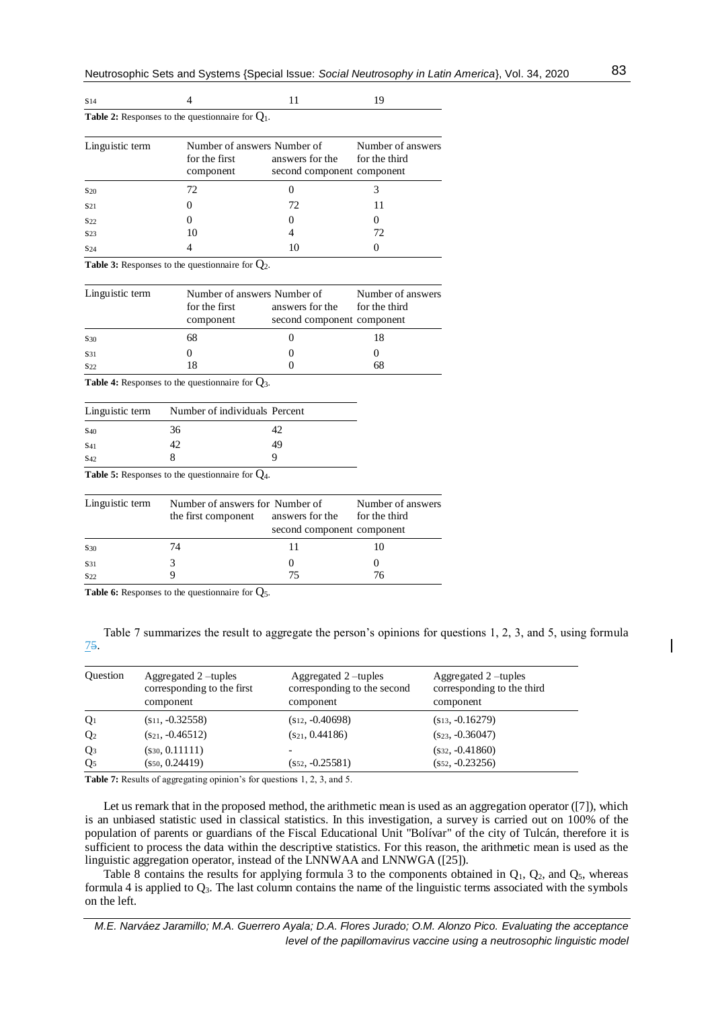| S <sub>14</sub> |                                                            |                                                                                            | 19                |
|-----------------|------------------------------------------------------------|--------------------------------------------------------------------------------------------|-------------------|
|                 | <b>Table 2:</b> Responses to the questionnaire for $Q_1$ . |                                                                                            |                   |
| Linguistic term | for the first<br>component                                 | Number of answers Number of<br>answers for the for the third<br>second component component | Number of answers |
| S <sub>20</sub> | 72                                                         |                                                                                            |                   |
| S <sub>21</sub> |                                                            | 72                                                                                         |                   |
| <b>S22</b>      | 0                                                          |                                                                                            |                   |
| S <sub>23</sub> | 10                                                         |                                                                                            | 72                |
| S <sub>24</sub> |                                                            | 10                                                                                         |                   |

Table 3: Responses to the questionnaire for  $Q_2$ .

| Linguistic term | Number of answers Number of<br>for the first | answers for the            | Number of answers<br>for the third |
|-----------------|----------------------------------------------|----------------------------|------------------------------------|
|                 | component                                    | second component component |                                    |
| S <sub>30</sub> | 68                                           |                            | 18                                 |
| S31             |                                              |                            |                                    |
| S <sub>22</sub> |                                              |                            |                                    |

Table 4: Responses to the questionnaire for  $Q_3$ .

|                 | Linguistic term Number of individuals Percent |    |
|-----------------|-----------------------------------------------|----|
| <b>S40</b>      | 36                                            | 42 |
| S <sub>41</sub> | 42                                            | 49 |
| S <sub>42</sub> |                                               |    |

**Table 5:** Responses to the questionnaire for Q4.

| Linguistic term | Number of answers for Number of<br>the first component | answers for the<br>second component component | Number of answers<br>for the third |
|-----------------|--------------------------------------------------------|-----------------------------------------------|------------------------------------|
| S <sub>30</sub> | 74                                                     |                                               |                                    |
| S31             |                                                        |                                               |                                    |
| S <sub>22</sub> |                                                        |                                               | 76                                 |

Table 6: Responses to the questionnaire for  $Q_5$ .

Table 7 summarizes the result to aggregate the person's opinions for questions 1, 2, 3, and 5, using formula 75.

| <b>Ouestion</b> | Aggregated 2 -tuples<br>corresponding to the first<br>component | Aggregated 2-tuples<br>corresponding to the second<br>component | Aggregated 2 –tuples<br>corresponding to the third<br>component |
|-----------------|-----------------------------------------------------------------|-----------------------------------------------------------------|-----------------------------------------------------------------|
| $Q_1$           | $(s_{11}, -0.32558)$                                            | $(s_{12}, -0.40698)$                                            | $(s_{13}, -0.16279)$                                            |
| Q <sub>2</sub>  | $(s_{21}, -0.46512)$                                            | $(s_{21}, 0.44186)$                                             | $(s_{23}, -0.36047)$                                            |
| Q <sub>3</sub>  | $(s_{30}, 0.11111)$                                             | $\overline{\phantom{0}}$                                        | $(s_{32}, -0.41860)$                                            |
| Q <sub>5</sub>  | $(s_{50}, 0.24419)$                                             | $(s_{52}, -0.25581)$                                            | $(s_{52}, -0.23256)$                                            |

**Table 7:** Results of aggregating opinion's for questions 1, 2, 3, and 5.

Let us remark that in the proposed method, the arithmetic mean is used as an aggregation operator ([7]), which is an unbiased statistic used in classical statistics. In this investigation, a survey is carried out on 100% of the population of parents or guardians of the Fiscal Educational Unit "Bolívar" of the city of Tulcán, therefore it is sufficient to process the data within the descriptive statistics. For this reason, the arithmetic mean is used as the linguistic aggregation operator, instead of the LNNWAA and LNNWGA ([25]).

Table 8 contains the results for applying formula 3 to the components obtained in  $Q_1$ ,  $Q_2$ , and  $Q_5$ , whereas formula 4 is applied to  $Q_3$ . The last column contains the name of the linguistic terms associated with the symbols on the left.

*M.E. Narváez Jaramillo; M.A. Guerrero Ayala; D.A. Flores Jurado; O.M. Alonzo Pico. Evaluating the acceptance level of the papillomavirus vaccine using a neutrosophic linguistic model*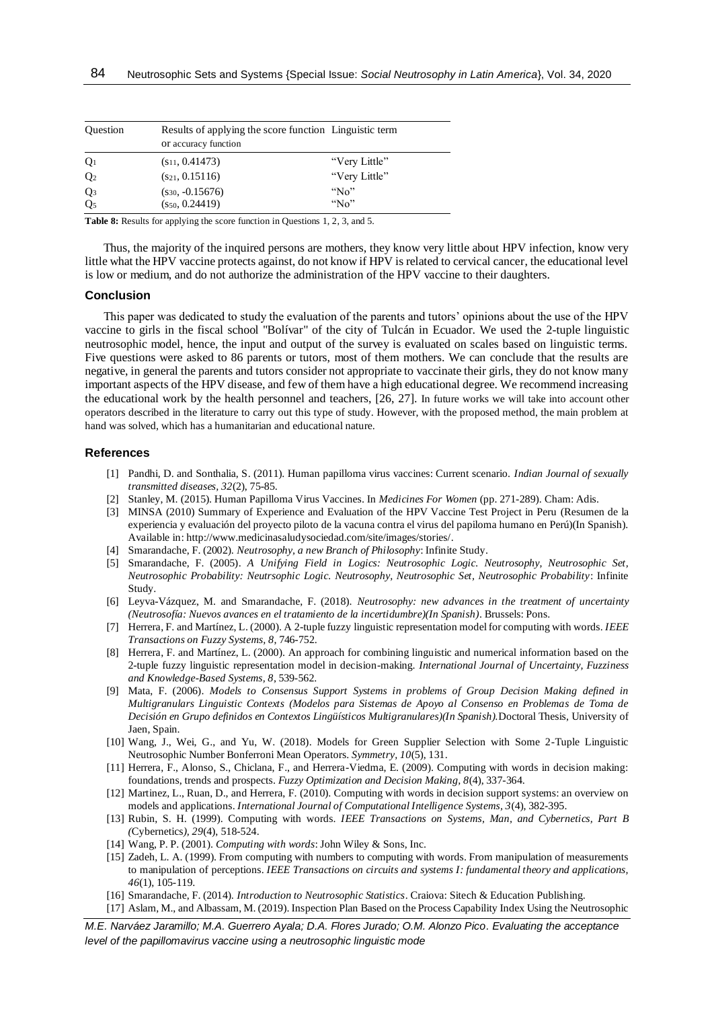| <b>Ouestion</b> | or accuracy function | Results of applying the score function Linguistic term |
|-----------------|----------------------|--------------------------------------------------------|
| Q <sub>1</sub>  | $(s_{11}, 0.41473)$  | "Very Little"                                          |
| Q <sub>2</sub>  | $(s_{21}, 0.15116)$  | "Very Little"                                          |
| $Q_3$           | $(s_{30}, -0.15676)$ | " $No$ "                                               |
| Q <sub>5</sub>  | $(s_{50}, 0.24419)$  | " $N_0$ "                                              |

**Table 8:** Results for applying the score function in Questions 1, 2, 3, and 5.

Thus, the majority of the inquired persons are mothers, they know very little about HPV infection, know very little what the HPV vaccine protects against, do not know if HPV is related to cervical cancer, the educational level is low or medium, and do not authorize the administration of the HPV vaccine to their daughters.

### **Conclusion**

This paper was dedicated to study the evaluation of the parents and tutors' opinions about the use of the HPV vaccine to girls in the fiscal school "Bolívar" of the city of Tulcán in Ecuador. We used the 2-tuple linguistic neutrosophic model, hence, the input and output of the survey is evaluated on scales based on linguistic terms. Five questions were asked to 86 parents or tutors, most of them mothers. We can conclude that the results are negative, in general the parents and tutors consider not appropriate to vaccinate their girls, they do not know many important aspects of the HPV disease, and few of them have a high educational degree. We recommend increasing the educational work by the health personnel and teachers, [26, 27]. In future works we will take into account other operators described in the literature to carry out this type of study. However, with the proposed method, the main problem at hand was solved, which has a humanitarian and educational nature.

#### **References**

- [1] Pandhi, D. and Sonthalia, S. (2011). Human papilloma virus vaccines: Current scenario. *Indian Journal of sexually transmitted diseases, 32*(2), 75-85.
- [2] Stanley, M. (2015). Human Papilloma Virus Vaccines. In *Medicines For Women* (pp. 271-289). Cham: Adis.
- [3] MINSA (2010) Summary of Experience and Evaluation of the HPV Vaccine Test Project in Peru (Resumen de la experiencia y evaluación del proyecto piloto de la vacuna contra el virus del papiloma humano en Perú)(In Spanish). Available in: [http://www.medicinasaludysociedad.com/site/images/stories/.](http://www.medicinasaludysociedad.com/site/images/stories/)
- [4] Smarandache, F. (2002). *Neutrosophy, a new Branch of Philosophy*: Infinite Study.
- [5] Smarandache, F. (2005). *A Unifying Field in Logics: Neutrosophic Logic. Neutrosophy, Neutrosophic Set, Neutrosophic Probability: Neutrsophic Logic. Neutrosophy, Neutrosophic Set, Neutrosophic Probability*: Infinite Study.
- [6] Leyva-Vázquez, M. and Smarandache, F. (2018). *Neutrosophy: new advances in the treatment of uncertainty (Neutrosofía: Nuevos avances en el tratamiento de la incertidumbre)(In Spanish)*. Brussels: Pons.
- [7] Herrera, F. and Martínez, L. (2000). A 2-tuple fuzzy linguistic representation model for computing with words. *IEEE Transactions on Fuzzy Systems, 8*, 746-752.
- [8] Herrera, F. and Martínez, L. (2000). An approach for combining linguistic and numerical information based on the 2-tuple fuzzy linguistic representation model in decision-making. *International Journal of Uncertainty, Fuzziness and Knowledge-Based Systems, 8*, 539-562.
- [9] Mata, F. (2006). *Models to Consensus Support Systems in problems of Group Decision Making defined in Multigranulars Linguistic Contexts (Modelos para Sistemas de Apoyo al Consenso en Problemas de Toma de Decisión en Grupo definidos en Contextos Lingüísticos Multigranulares)(In Spanish).*Doctoral Thesis, University of Jaen, Spain.
- [10] Wang, J., Wei, G., and Yu, W. (2018). Models for Green Supplier Selection with Some 2-Tuple Linguistic Neutrosophic Number Bonferroni Mean Operators. *Symmetry, 10*(5), 131.
- [11] Herrera, F., Alonso, S., Chiclana, F., and Herrera-Viedma, E. (2009). Computing with words in decision making: foundations, trends and prospects. *Fuzzy Optimization and Decision Making, 8*(4), 337-364.
- [12] Martinez, L., Ruan, D., and Herrera, F. (2010). Computing with words in decision support systems: an overview on models and applications. *International Journal of Computational Intelligence Systems, 3*(4), 382-395.
- [13] Rubin, S. H. (1999). Computing with words. *IEEE Transactions on Systems, Man, and Cybernetics, Part B (*Cybernetics*), 29*(4), 518-524.
- [14] Wang, P. P. (2001). *Computing with words*: John Wiley & Sons, Inc.
- [15] Zadeh, L. A. (1999). From computing with numbers to computing with words. From manipulation of measurements to manipulation of perceptions. *IEEE Transactions on circuits and systems I: fundamental theory and applications, 46*(1), 105-119.
- [16] Smarandache, F. (2014). *Introduction to Neutrosophic Statistics*. Craiova: Sitech & Education Publishing.
- [17] Aslam, M., and Albassam, M. (2019). Inspection Plan Based on the Process Capability Index Using the Neutrosophic

*M.E. Narváez Jaramillo; M.A. Guerrero Ayala; D.A. Flores Jurado; O.M. Alonzo Pico. Evaluating the acceptance level of the papillomavirus vaccine using a neutrosophic linguistic mode*